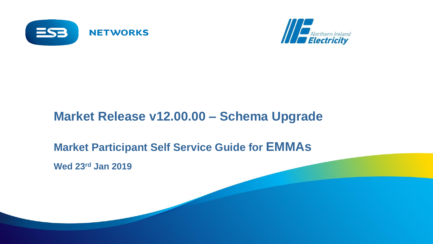



# **Market Release v12.00.00 – Schema Upgrade**

## **Market Participant Self Service Guide for EMMAs**

**Wed 23rd Jan 2019**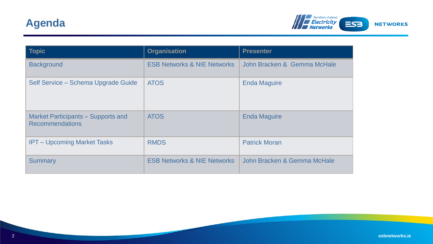

| <b>Topic</b>                                                        | <b>Organisation</b>                    | <b>Presenter</b>            |
|---------------------------------------------------------------------|----------------------------------------|-----------------------------|
| <b>Background</b>                                                   | <b>ESB Networks &amp; NIE Networks</b> | John Bracken & Gemma McHale |
| Self Service - Schema Upgrade Guide                                 | <b>ATOS</b>                            | <b>Enda Maguire</b>         |
| <b>Market Participants – Supports and</b><br><b>Recommendations</b> | <b>ATOS</b>                            | <b>Enda Maguire</b>         |
| <b>IPT – Upcoming Market Tasks</b>                                  | <b>RMDS</b>                            | <b>Patrick Moran</b>        |
| <b>Summary</b>                                                      | <b>ESB Networks &amp; NIE Networks</b> | John Bracken & Gemma McHale |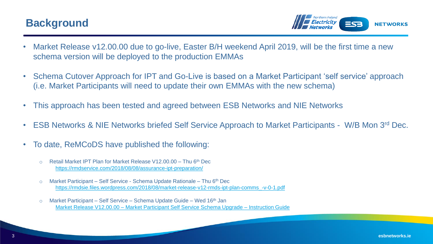### **Background**

**NETWORKS** 

- Market Release v12.00.00 due to go-live, Easter B/H weekend April 2019, will be the first time a new schema version will be deployed to the production EMMAs
- Schema Cutover Approach for IPT and Go-Live is based on a Market Participant 'self service' approach (i.e. Market Participants will need to update their own EMMAs with the new schema)
- This approach has been tested and agreed between ESB Networks and NIE Networks
- ESB Networks & NIE Networks briefed Self Service Approach to Market Participants W/B Mon 3rd Dec.
- To date, ReMCoDS have published the following:
	- $\circ$  Retail Market IPT Plan for Market Release V12.00.00 Thu 6<sup>th</sup> Dec <https://rmdservice.com/2018/08/08/assurance-ipt-preparation/>
	- o Market Participant Self Service Schema Update Rationale Thu 6th Dec [https://rmdsie.files.wordpress.com/2018/08/market-release-v12-rmds-ipt-plan-comms\\_-v-0-1.pdf](https://rmdsie.files.wordpress.com/2018/08/market-release-v12-rmds-ipt-plan-comms_-v-0-1.pdf)
	- $\circ$  Market Participant Self Service Schema Update Guide Wed 16<sup>th</sup> Jan Market Release V12.00.00 – [Market Participant Self Service Schema Upgrade –](https://rmdservice.com/2018/08/07/implementation-cutover/) Instruction Guide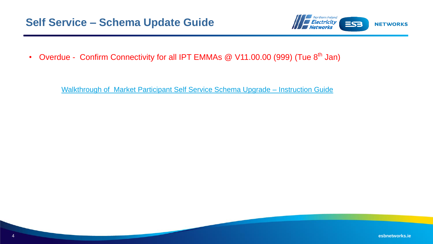

• Overdue - Confirm Connectivity for all IPT EMMAs @ V11.00.00 (999) (Tue 8<sup>th</sup> Jan)

[Walkthrough of Market Participant Self Service Schema Upgrade –](https://rmdservice.com/2018/08/07/implementation-cutover/) Instruction Guide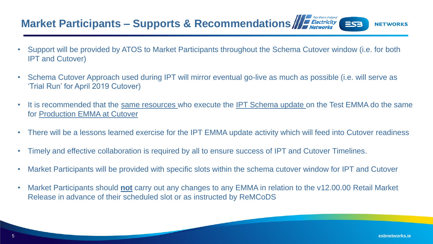#### Market Participant[s](http://www.google.ie/url?sa=i&rct=j&q=&esrc=s&source=images&cd=&cad=rja&uact=8&ved=0ahUKEwj525eDhbHMAhXjIMAKHeNeAZUQjRwIBw&url=http://www.nienetworks.co.uk/&psig=AFQjCNEhuE8RVsHI-oIRF-gKtHRUe3vHkA&ust=1461922813320943) – Supports & Recommendations  $ES<sub>3</sub>$

- Support will be provided by ATOS to Market Participants throughout the Schema Cutover window (i.e. for both IPT and Cutover)
- Schema Cutover Approach used during IPT will mirror eventual go-live as much as possible (i.e. will serve as 'Trial Run' for April 2019 Cutover)
- It is recommended that the same resources who execute the IPT Schema update on the Test EMMA do the same for Production EMMA at Cutover
- There will be a lessons learned exercise for the IPT EMMA update activity which will feed into Cutover readiness
- Timely and effective collaboration is required by all to ensure success of IPT and Cutover Timelines.
- Market Participants will be provided with specific slots within the schema cutover window for IPT and Cutover
- Market Participants should **not** carry out any changes to any EMMA in relation to the v12.00.00 Retail Market Release in advance of their scheduled slot or as instructed by ReMCoDS

**NETWORKS**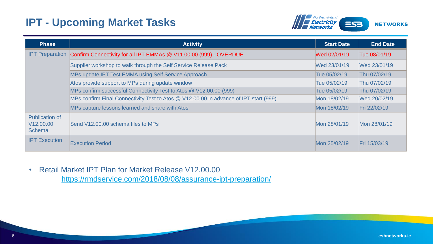### **IPT - Upcoming Market Tasks**



| <b>Phase</b>                                                    | <b>Activity</b>                                                                       | <b>Start Date</b> | <b>End Date</b> |
|-----------------------------------------------------------------|---------------------------------------------------------------------------------------|-------------------|-----------------|
| <b>IPT Preparation</b>                                          | Confirm Connectivity for all IPT EMMAs @ V11.00.00 (999) - OVERDUE                    | Wed 02/01/19      | Tue 08/01/19    |
|                                                                 | Supplier workshop to walk through the Self Service Release Pack                       | Wed 23/01/19      | Wed 23/01/19    |
|                                                                 | MPs update IPT Test EMMA using Self Service Approach                                  | Tue 05/02/19      | Thu 07/02/19    |
|                                                                 | Atos provide support to MPs during update window                                      | Tue 05/02/19      | Thu 07/02/19    |
|                                                                 | MPs confirm successful Connectivity Test to Atos @ V12.00.00 (999)                    | Tue 05/02/19      | Thu 07/02/19    |
|                                                                 | MPs confirm Final Connectivity Test to Atos @ V12.00.00 in advance of IPT start (999) | Mon 18/02/19      | Wed 20/02/19    |
|                                                                 | MPs capture lessons learned and share with Atos                                       | Mon 18/02/19      | Fri 22/02/19    |
| <b>Publication of</b><br>V <sub>12.00.00</sub><br><b>Schema</b> | Send V12,00,00 schema files to MPs                                                    | Mon 28/01/19      | Mon 28/01/19    |
| <b>IPT</b> Execution                                            | <b>Execution Period</b>                                                               | Mon 25/02/19      | Fri 15/03/19    |

• Retail Market IPT Plan for Market Release V12.00.00 <https://rmdservice.com/2018/08/08/assurance-ipt-preparation/>